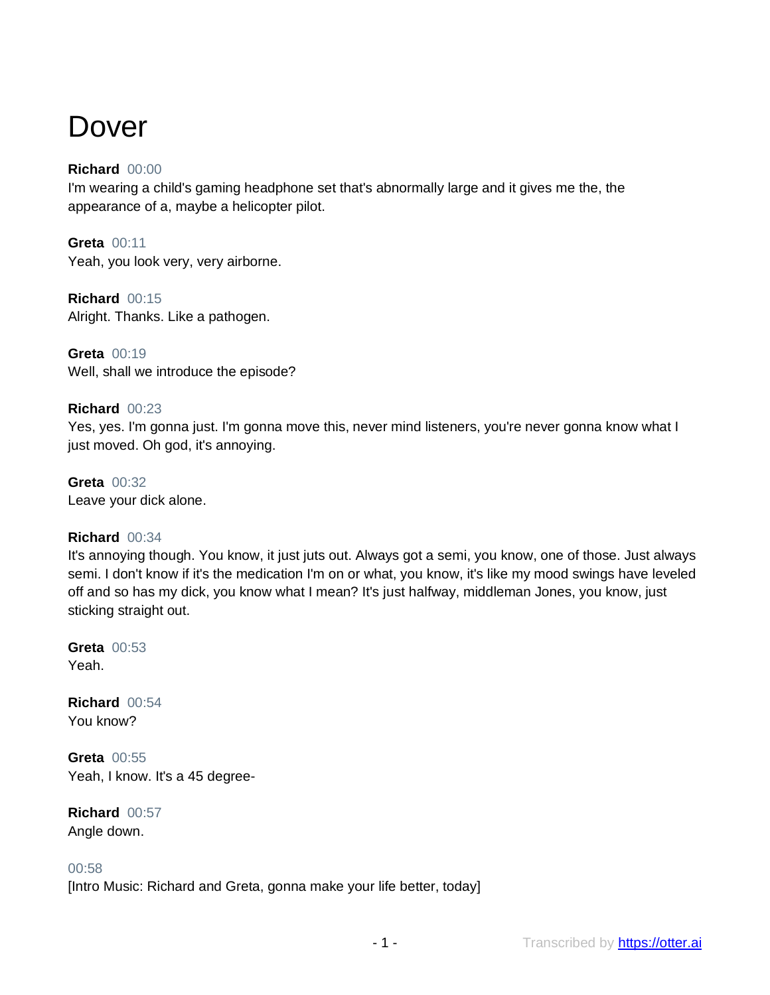# Dover

# **Richard** 00:00

I'm wearing a child's gaming headphone set that's abnormally large and it gives me the, the appearance of a, maybe a helicopter pilot.

**Greta** 00:11 Yeah, you look very, very airborne.

**Richard** 00:15 Alright. Thanks. Like a pathogen.

**Greta** 00:19 Well, shall we introduce the episode?

# **Richard** 00:23

Yes, yes. I'm gonna just. I'm gonna move this, never mind listeners, you're never gonna know what I just moved. Oh god, it's annoying.

**Greta** 00:32 Leave your dick alone.

# **Richard** 00:34

It's annoying though. You know, it just juts out. Always got a semi, you know, one of those. Just always semi. I don't know if it's the medication I'm on or what, you know, it's like my mood swings have leveled off and so has my dick, you know what I mean? It's just halfway, middleman Jones, you know, just sticking straight out.

**Greta** 00:53 Yeah.

**Richard** 00:54 You know?

**Greta** 00:55 Yeah, I know. It's a 45 degree-

**Richard** 00:57 Angle down.

#### 00:58

[Intro Music: Richard and Greta, gonna make your life better, today]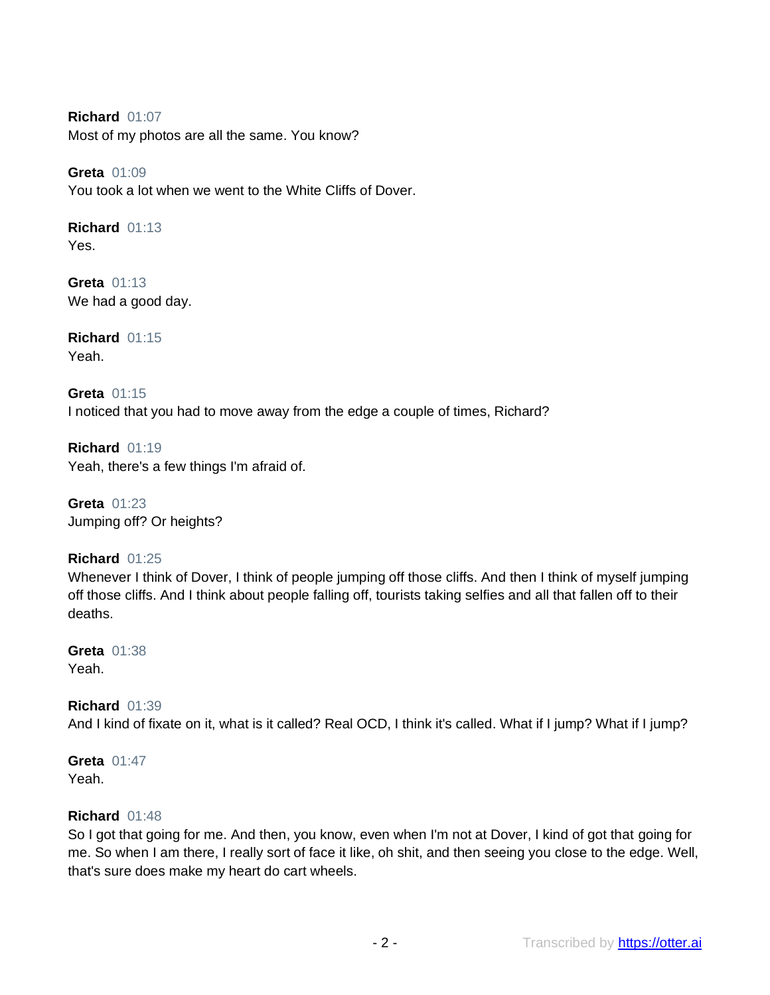**Richard** 01:07 Most of my photos are all the same. You know?

**Greta** 01:09 You took a lot when we went to the White Cliffs of Dover.

**Richard** 01:13 Yes.

**Greta** 01:13 We had a good day.

**Richard** 01:15 Yeah.

**Greta** 01:15 I noticed that you had to move away from the edge a couple of times, Richard?

**Richard** 01:19 Yeah, there's a few things I'm afraid of.

**Greta** 01:23 Jumping off? Or heights?

# **Richard** 01:25

Whenever I think of Dover, I think of people jumping off those cliffs. And then I think of myself jumping off those cliffs. And I think about people falling off, tourists taking selfies and all that fallen off to their deaths.

**Greta** 01:38 Yeah.

**Richard** 01:39 And I kind of fixate on it, what is it called? Real OCD, I think it's called. What if I jump? What if I jump?

**Greta** 01:47 Yeah.

# **Richard** 01:48

So I got that going for me. And then, you know, even when I'm not at Dover, I kind of got that going for me. So when I am there, I really sort of face it like, oh shit, and then seeing you close to the edge. Well, that's sure does make my heart do cart wheels.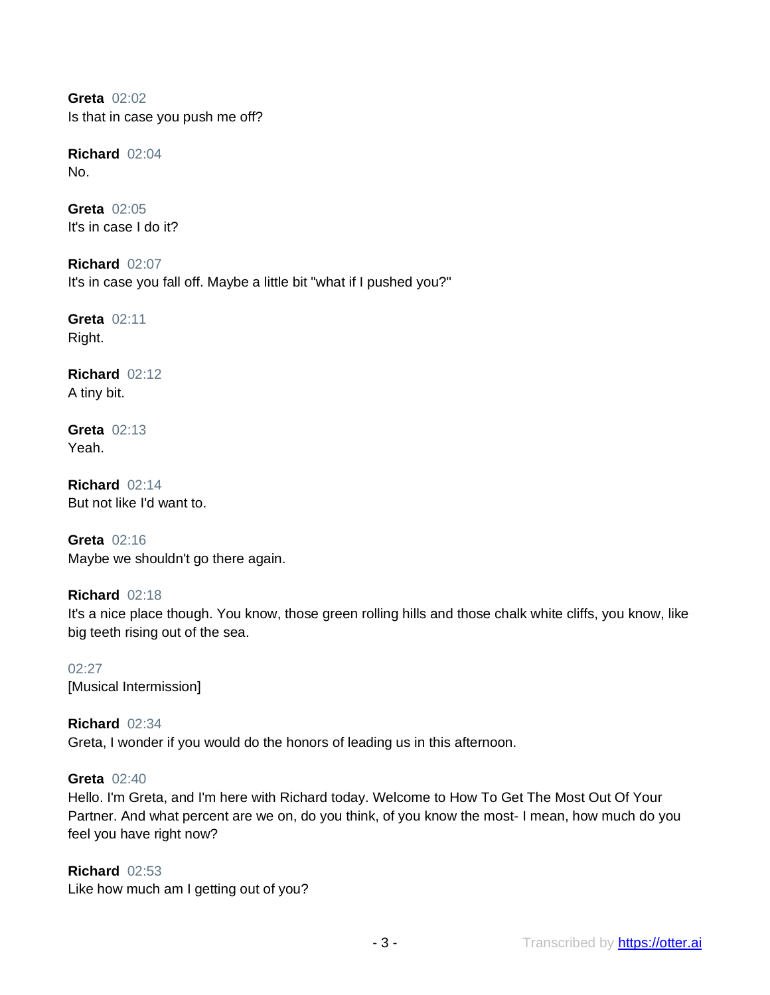**Greta** 02:02 Is that in case you push me off?

**Richard** 02:04 No.

**Greta** 02:05 It's in case I do it?

**Richard** 02:07 It's in case you fall off. Maybe a little bit "what if I pushed you?"

**Greta** 02:11 Right.

**Richard** 02:12 A tiny bit.

**Greta** 02:13 Yeah.

**Richard** 02:14 But not like I'd want to.

**Greta** 02:16 Maybe we shouldn't go there again.

**Richard** 02:18 It's a nice place though. You know, those green rolling hills and those chalk white cliffs, you know, like big teeth rising out of the sea.

02:27 [Musical Intermission]

**Richard** 02:34 Greta, I wonder if you would do the honors of leading us in this afternoon.

#### **Greta** 02:40

Hello. I'm Greta, and I'm here with Richard today. Welcome to How To Get The Most Out Of Your Partner. And what percent are we on, do you think, of you know the most- I mean, how much do you feel you have right now?

**Richard** 02:53 Like how much am I getting out of you?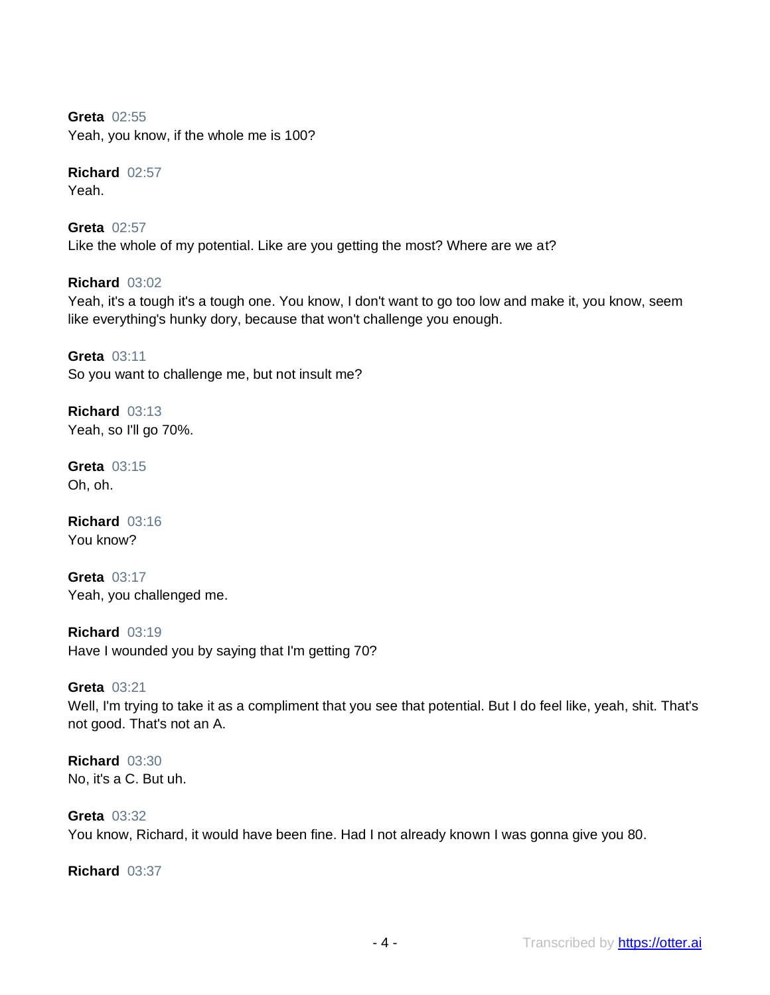**Greta** 02:55 Yeah, you know, if the whole me is 100?

**Richard** 02:57 Yeah.

**Greta** 02:57 Like the whole of my potential. Like are you getting the most? Where are we at?

**Richard** 03:02 Yeah, it's a tough it's a tough one. You know, I don't want to go too low and make it, you know, seem like everything's hunky dory, because that won't challenge you enough.

**Greta** 03:11 So you want to challenge me, but not insult me?

**Richard** 03:13 Yeah, so I'll go 70%.

**Greta** 03:15 Oh, oh.

**Richard** 03:16 You know?

**Greta** 03:17 Yeah, you challenged me.

**Richard** 03:19 Have I wounded you by saying that I'm getting 70?

**Greta** 03:21 Well, I'm trying to take it as a compliment that you see that potential. But I do feel like, yeah, shit. That's not good. That's not an A.

**Richard** 03:30 No, it's a C. But uh.

**Greta** 03:32 You know, Richard, it would have been fine. Had I not already known I was gonna give you 80.

**Richard** 03:37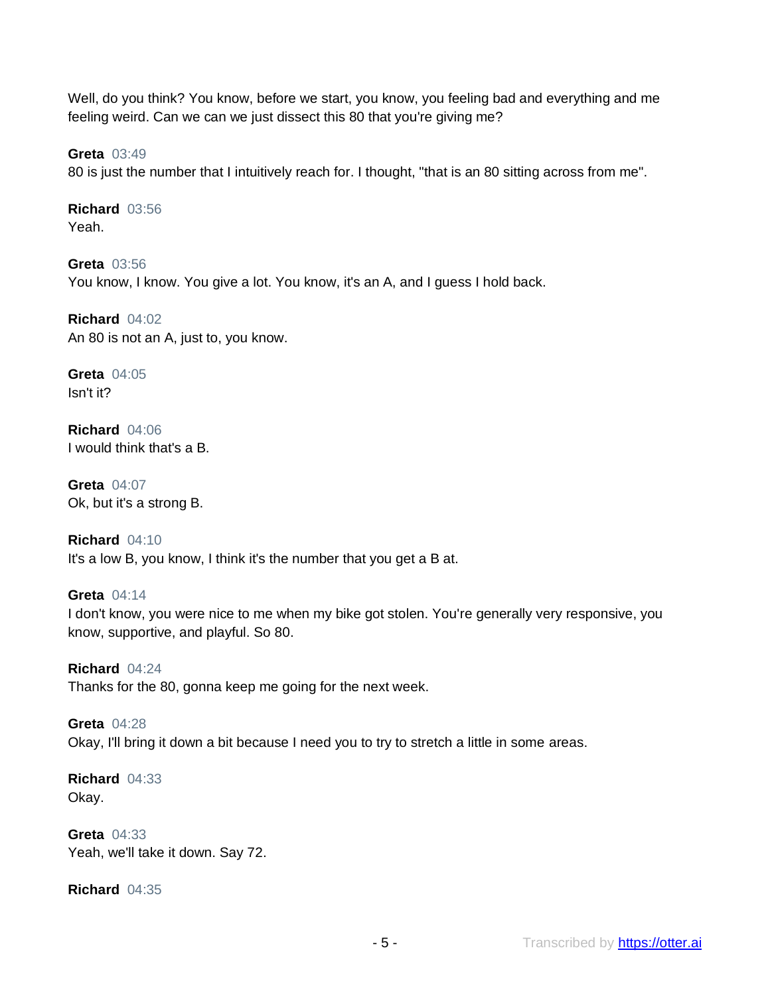Well, do you think? You know, before we start, you know, you feeling bad and everything and me feeling weird. Can we can we just dissect this 80 that you're giving me?

**Greta** 03:49

80 is just the number that I intuitively reach for. I thought, "that is an 80 sitting across from me".

**Richard** 03:56 Yeah.

**Greta** 03:56 You know, I know. You give a lot. You know, it's an A, and I guess I hold back.

**Richard** 04:02 An 80 is not an A, just to, you know.

**Greta** 04:05 Isn't it?

**Richard** 04:06 I would think that's a B.

**Greta** 04:07 Ok, but it's a strong B.

**Richard** 04:10 It's a low B, you know, I think it's the number that you get a B at.

**Greta** 04:14 I don't know, you were nice to me when my bike got stolen. You're generally very responsive, you know, supportive, and playful. So 80.

**Richard** 04:24 Thanks for the 80, gonna keep me going for the next week.

**Greta** 04:28 Okay, I'll bring it down a bit because I need you to try to stretch a little in some areas.

**Richard** 04:33 Okay.

**Greta** 04:33 Yeah, we'll take it down. Say 72.

**Richard** 04:35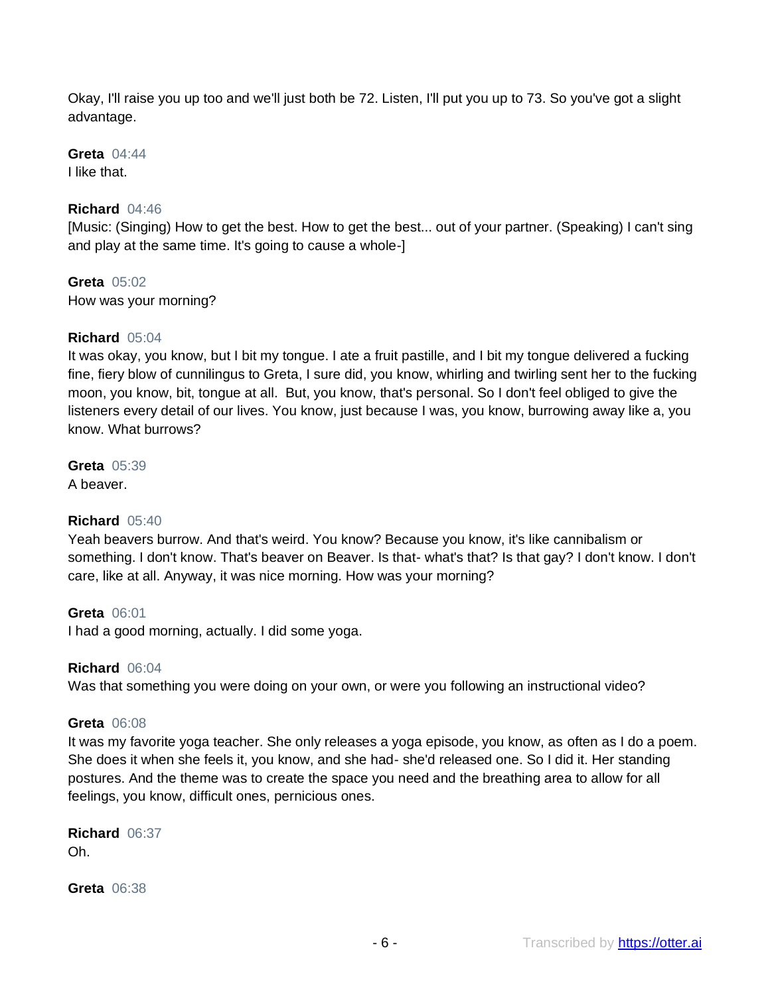Okay, I'll raise you up too and we'll just both be 72. Listen, I'll put you up to 73. So you've got a slight advantage.

**Greta** 04:44 I like that.

#### **Richard** 04:46

[Music: (Singing) How to get the best. How to get the best... out of your partner. (Speaking) I can't sing and play at the same time. It's going to cause a whole-]

**Greta** 05:02 How was your morning?

#### **Richard** 05:04

It was okay, you know, but I bit my tongue. I ate a fruit pastille, and I bit my tongue delivered a fucking fine, fiery blow of cunnilingus to Greta, I sure did, you know, whirling and twirling sent her to the fucking moon, you know, bit, tongue at all. But, you know, that's personal. So I don't feel obliged to give the listeners every detail of our lives. You know, just because I was, you know, burrowing away like a, you know. What burrows?

#### **Greta** 05:39

A beaver.

#### **Richard** 05:40

Yeah beavers burrow. And that's weird. You know? Because you know, it's like cannibalism or something. I don't know. That's beaver on Beaver. Is that- what's that? Is that gay? I don't know. I don't care, like at all. Anyway, it was nice morning. How was your morning?

#### **Greta** 06:01

I had a good morning, actually. I did some yoga.

#### **Richard** 06:04

Was that something you were doing on your own, or were you following an instructional video?

#### **Greta** 06:08

It was my favorite yoga teacher. She only releases a yoga episode, you know, as often as I do a poem. She does it when she feels it, you know, and she had- she'd released one. So I did it. Her standing postures. And the theme was to create the space you need and the breathing area to allow for all feelings, you know, difficult ones, pernicious ones.

**Richard** 06:37 Oh.

**Greta** 06:38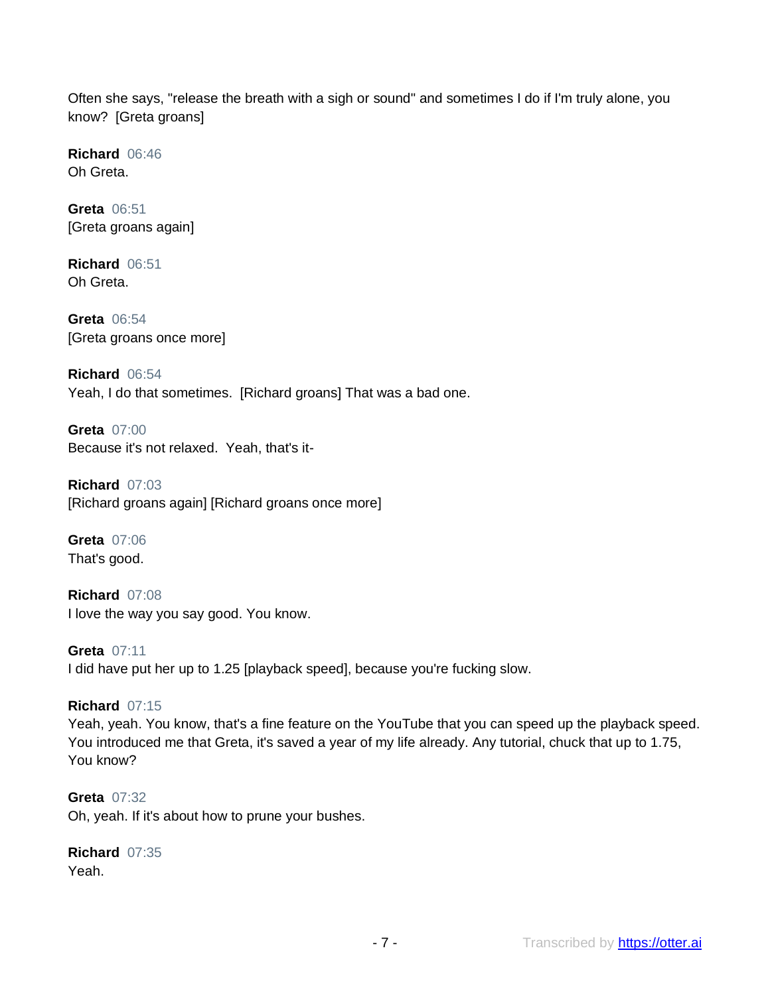Often she says, "release the breath with a sigh or sound" and sometimes I do if I'm truly alone, you know? [Greta groans]

**Richard** 06:46 Oh Greta.

**Greta** 06:51 [Greta groans again]

**Richard** 06:51 Oh Greta.

**Greta** 06:54 [Greta groans once more]

**Richard** 06:54 Yeah, I do that sometimes. [Richard groans] That was a bad one.

**Greta** 07:00 Because it's not relaxed. Yeah, that's it-

**Richard** 07:03 [Richard groans again] [Richard groans once more]

**Greta** 07:06 That's good.

**Richard** 07:08 I love the way you say good. You know.

**Greta** 07:11 I did have put her up to 1.25 [playback speed], because you're fucking slow.

# **Richard** 07:15

Yeah, yeah. You know, that's a fine feature on the YouTube that you can speed up the playback speed. You introduced me that Greta, it's saved a year of my life already. Any tutorial, chuck that up to 1.75, You know?

**Greta** 07:32 Oh, yeah. If it's about how to prune your bushes.

**Richard** 07:35 Yeah.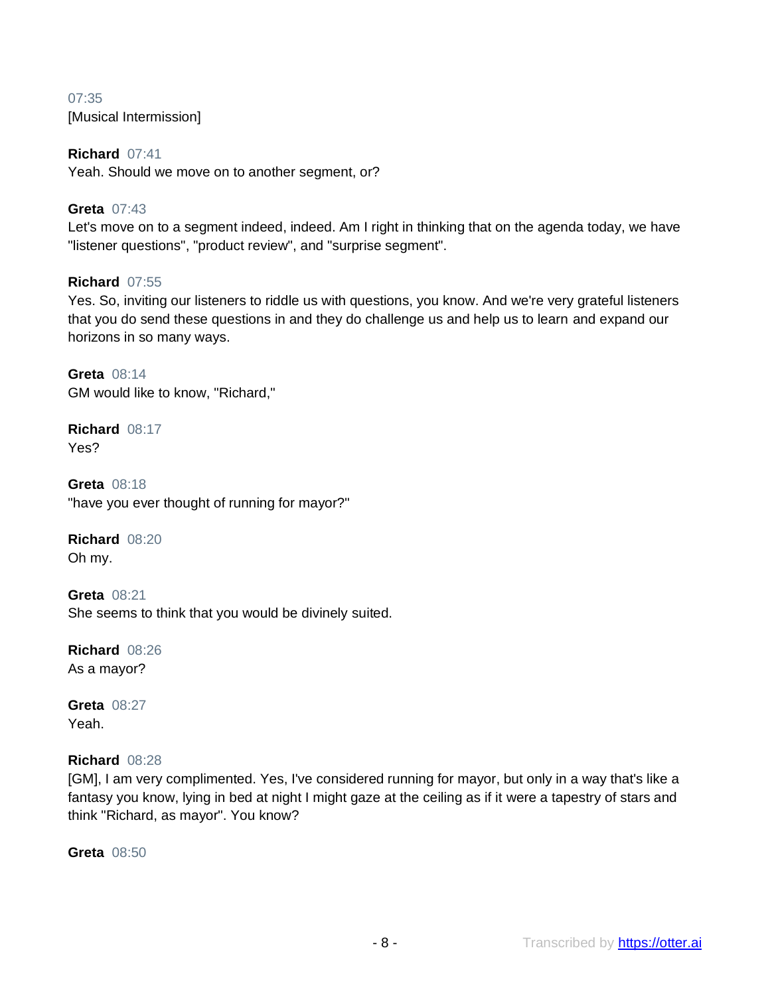# 07:35 [Musical Intermission]

#### **Richard** 07:41

Yeah. Should we move on to another segment, or?

# **Greta** 07:43

Let's move on to a segment indeed, indeed. Am I right in thinking that on the agenda today, we have "listener questions", "product review", and "surprise segment".

# **Richard** 07:55

Yes. So, inviting our listeners to riddle us with questions, you know. And we're very grateful listeners that you do send these questions in and they do challenge us and help us to learn and expand our horizons in so many ways.

**Greta** 08:14 GM would like to know, "Richard,"

**Richard** 08:17 Yes?

**Greta** 08:18 "have you ever thought of running for mayor?"

**Richard** 08:20 Oh my.

**Greta** 08:21 She seems to think that you would be divinely suited.

**Richard** 08:26 As a mayor?

**Greta** 08:27 Yeah.

#### **Richard** 08:28

[GM], I am very complimented. Yes, I've considered running for mayor, but only in a way that's like a fantasy you know, lying in bed at night I might gaze at the ceiling as if it were a tapestry of stars and think "Richard, as mayor". You know?

**Greta** 08:50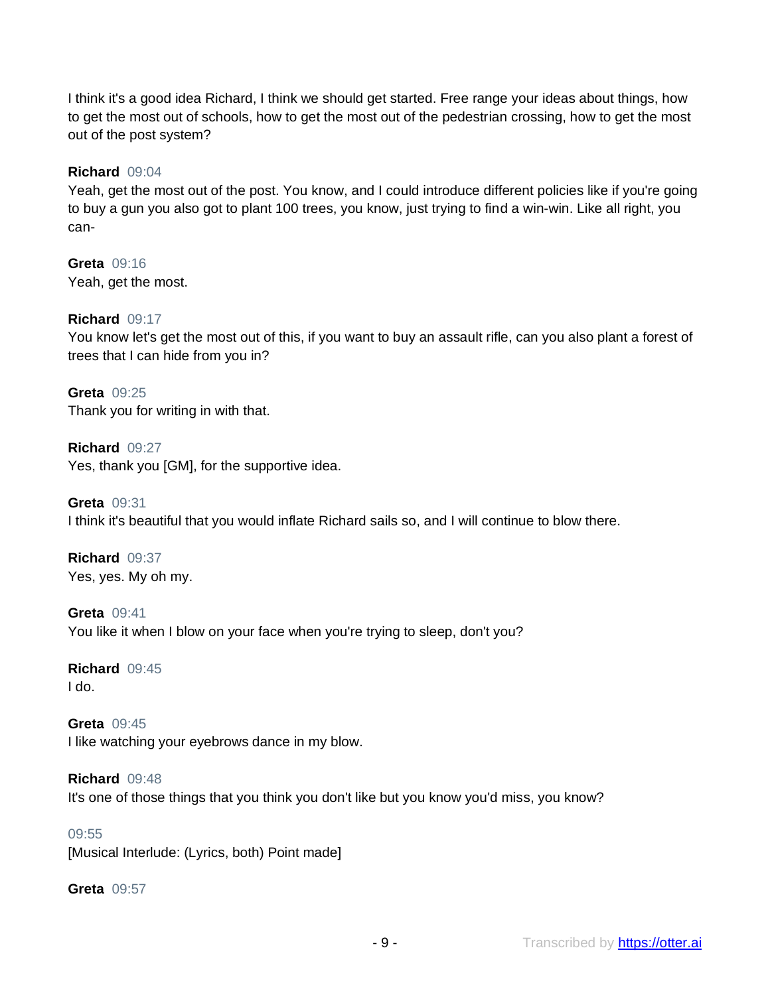I think it's a good idea Richard, I think we should get started. Free range your ideas about things, how to get the most out of schools, how to get the most out of the pedestrian crossing, how to get the most out of the post system?

#### **Richard** 09:04

Yeah, get the most out of the post. You know, and I could introduce different policies like if you're going to buy a gun you also got to plant 100 trees, you know, just trying to find a win-win. Like all right, you can-

**Greta** 09:16 Yeah, get the most.

# **Richard** 09:17

You know let's get the most out of this, if you want to buy an assault rifle, can you also plant a forest of trees that I can hide from you in?

**Greta** 09:25 Thank you for writing in with that.

**Richard** 09:27 Yes, thank you [GM], for the supportive idea.

**Greta** 09:31 I think it's beautiful that you would inflate Richard sails so, and I will continue to blow there.

**Richard** 09:37 Yes, yes. My oh my.

**Greta** 09:41 You like it when I blow on your face when you're trying to sleep, don't you?

**Richard** 09:45 I do.

**Greta** 09:45 I like watching your eyebrows dance in my blow.

**Richard** 09:48 It's one of those things that you think you don't like but you know you'd miss, you know?

#### 09:55

[Musical Interlude: (Lyrics, both) Point made]

**Greta** 09:57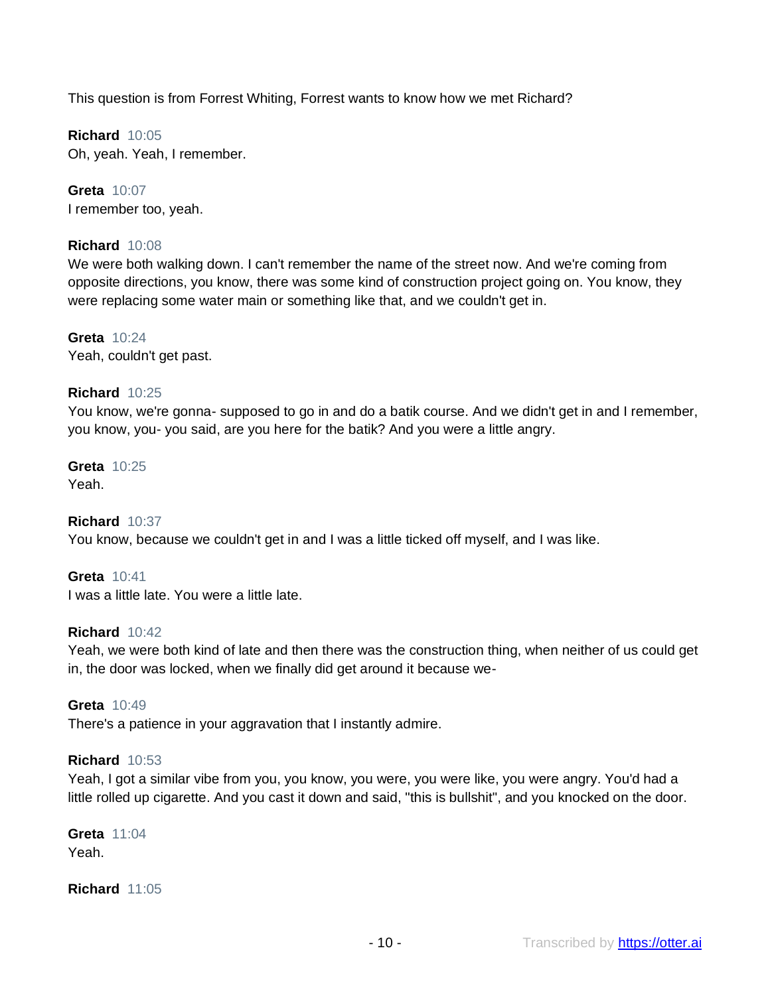This question is from Forrest Whiting, Forrest wants to know how we met Richard?

**Richard** 10:05 Oh, yeah. Yeah, I remember.

**Greta** 10:07 I remember too, yeah.

# **Richard** 10:08

We were both walking down. I can't remember the name of the street now. And we're coming from opposite directions, you know, there was some kind of construction project going on. You know, they were replacing some water main or something like that, and we couldn't get in.

**Greta** 10:24 Yeah, couldn't get past.

#### **Richard** 10:25

You know, we're gonna- supposed to go in and do a batik course. And we didn't get in and I remember, you know, you- you said, are you here for the batik? And you were a little angry.

**Greta** 10:25

Yeah.

#### **Richard** 10:37

You know, because we couldn't get in and I was a little ticked off myself, and I was like.

**Greta** 10:41

I was a little late. You were a little late.

#### **Richard** 10:42

Yeah, we were both kind of late and then there was the construction thing, when neither of us could get in, the door was locked, when we finally did get around it because we-

#### **Greta** 10:49

There's a patience in your aggravation that I instantly admire.

#### **Richard** 10:53

Yeah, I got a similar vibe from you, you know, you were, you were like, you were angry. You'd had a little rolled up cigarette. And you cast it down and said, "this is bullshit", and you knocked on the door.

**Greta** 11:04 Yeah.

**Richard** 11:05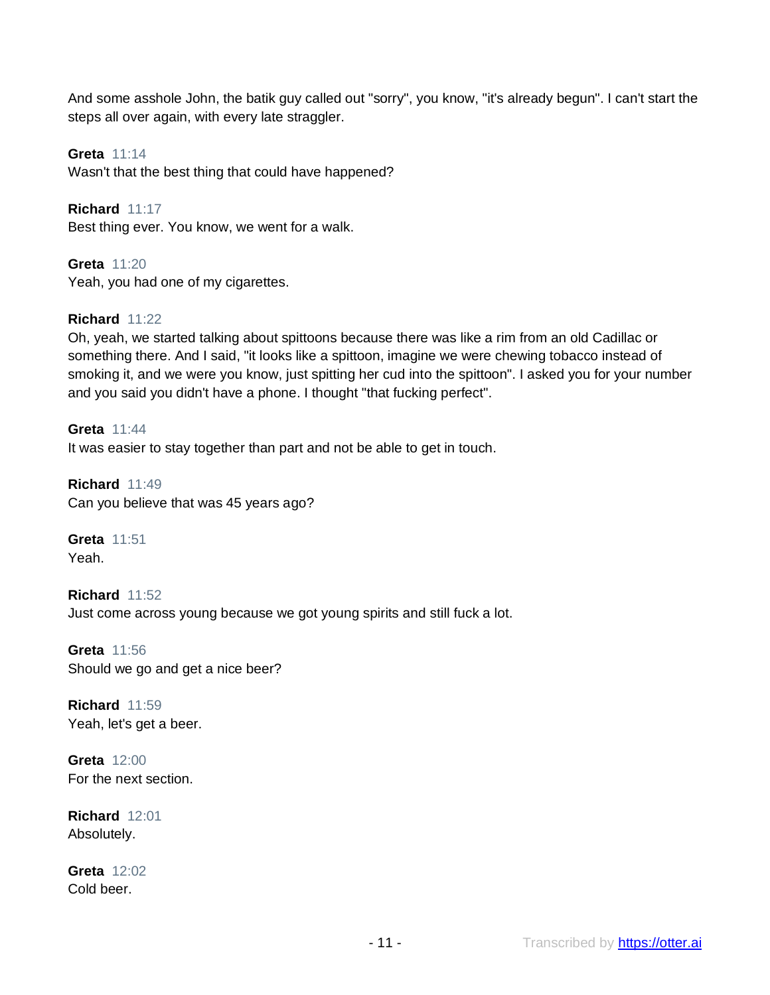And some asshole John, the batik guy called out "sorry", you know, "it's already begun". I can't start the steps all over again, with every late straggler.

**Greta** 11:14 Wasn't that the best thing that could have happened?

**Richard** 11:17 Best thing ever. You know, we went for a walk.

**Greta** 11:20 Yeah, you had one of my cigarettes.

# **Richard** 11:22

Oh, yeah, we started talking about spittoons because there was like a rim from an old Cadillac or something there. And I said, "it looks like a spittoon, imagine we were chewing tobacco instead of smoking it, and we were you know, just spitting her cud into the spittoon". I asked you for your number and you said you didn't have a phone. I thought "that fucking perfect".

**Greta** 11:44 It was easier to stay together than part and not be able to get in touch.

**Richard** 11:49 Can you believe that was 45 years ago?

**Greta** 11:51 Yeah.

**Richard** 11:52 Just come across young because we got young spirits and still fuck a lot.

**Greta** 11:56 Should we go and get a nice beer?

**Richard** 11:59 Yeah, let's get a beer.

**Greta** 12:00 For the next section.

**Richard** 12:01 Absolutely.

**Greta** 12:02 Cold beer.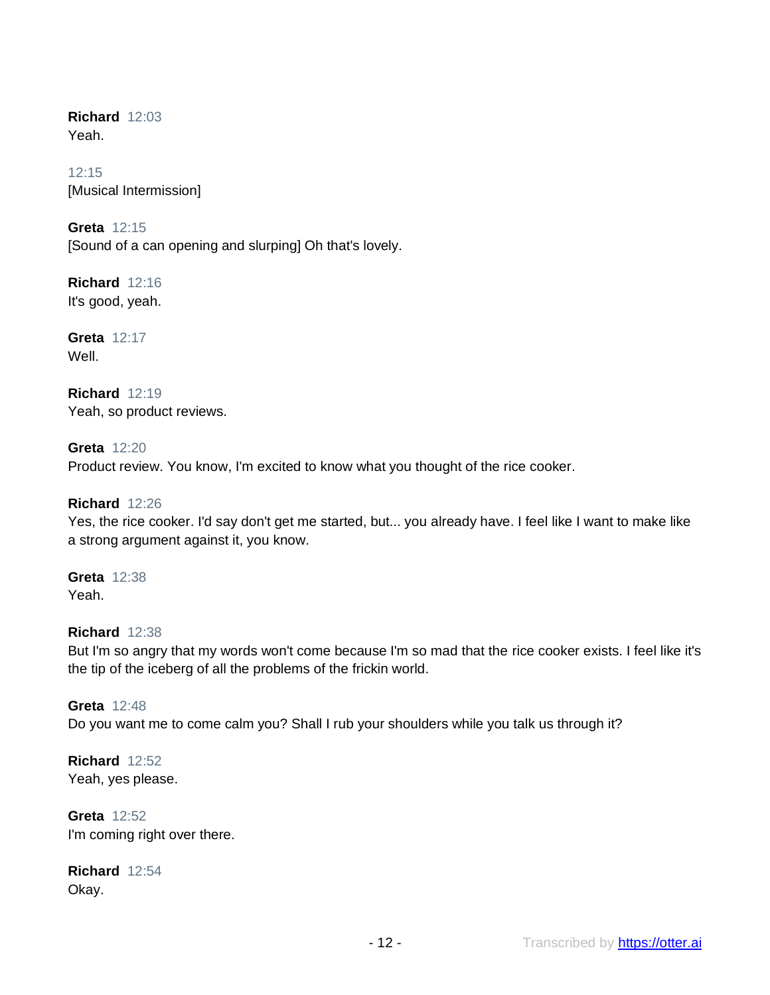**Richard** 12:03 Yeah.

12:15 [Musical Intermission]

**Greta** 12:15 [Sound of a can opening and slurping] Oh that's lovely.

**Richard** 12:16 It's good, yeah.

**Greta** 12:17 Well.

**Richard** 12:19 Yeah, so product reviews.

**Greta** 12:20 Product review. You know, I'm excited to know what you thought of the rice cooker.

**Richard** 12:26

Yes, the rice cooker. I'd say don't get me started, but... you already have. I feel like I want to make like a strong argument against it, you know.

**Greta** 12:38 Yeah.

# **Richard** 12:38

But I'm so angry that my words won't come because I'm so mad that the rice cooker exists. I feel like it's the tip of the iceberg of all the problems of the frickin world.

**Greta** 12:48 Do you want me to come calm you? Shall I rub your shoulders while you talk us through it?

**Richard** 12:52 Yeah, yes please.

**Greta** 12:52 I'm coming right over there.

**Richard** 12:54 Okay.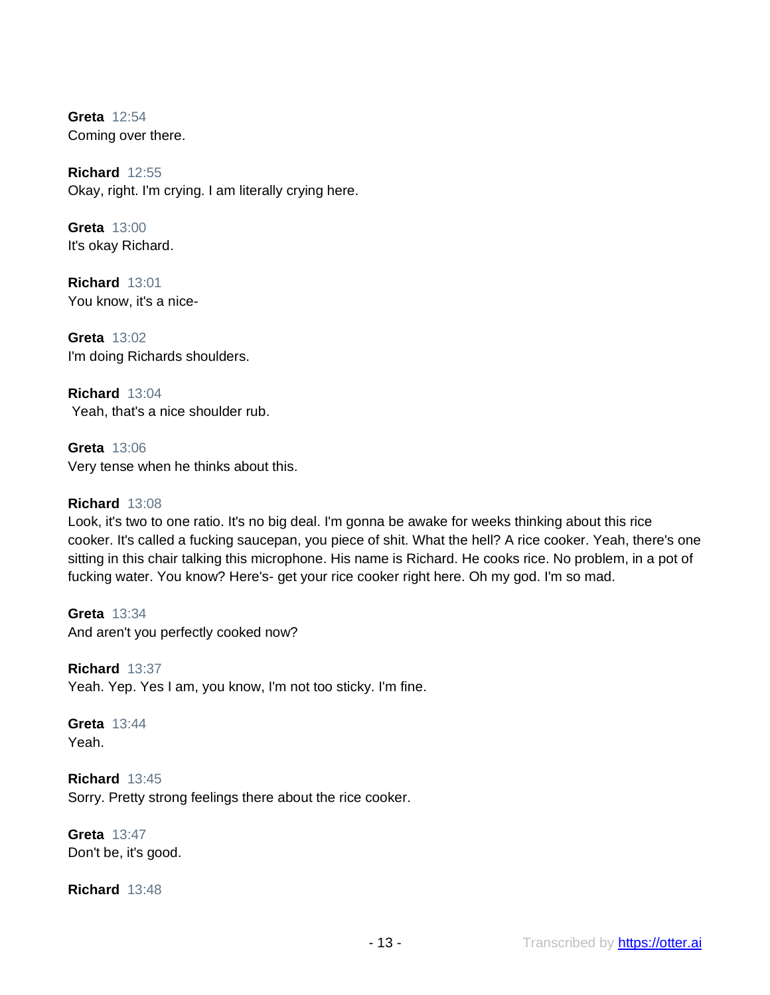**Greta** 12:54 Coming over there.

**Richard** 12:55 Okay, right. I'm crying. I am literally crying here.

**Greta** 13:00 It's okay Richard.

**Richard** 13:01 You know, it's a nice-

**Greta** 13:02 I'm doing Richards shoulders.

**Richard** 13:04 Yeah, that's a nice shoulder rub.

**Greta** 13:06 Very tense when he thinks about this.

#### **Richard** 13:08

Look, it's two to one ratio. It's no big deal. I'm gonna be awake for weeks thinking about this rice cooker. It's called a fucking saucepan, you piece of shit. What the hell? A rice cooker. Yeah, there's one sitting in this chair talking this microphone. His name is Richard. He cooks rice. No problem, in a pot of fucking water. You know? Here's- get your rice cooker right here. Oh my god. I'm so mad.

**Greta** 13:34 And aren't you perfectly cooked now?

**Richard** 13:37 Yeah. Yep. Yes I am, you know, I'm not too sticky. I'm fine.

**Greta** 13:44 Yeah.

**Richard** 13:45 Sorry. Pretty strong feelings there about the rice cooker.

**Greta** 13:47 Don't be, it's good.

**Richard** 13:48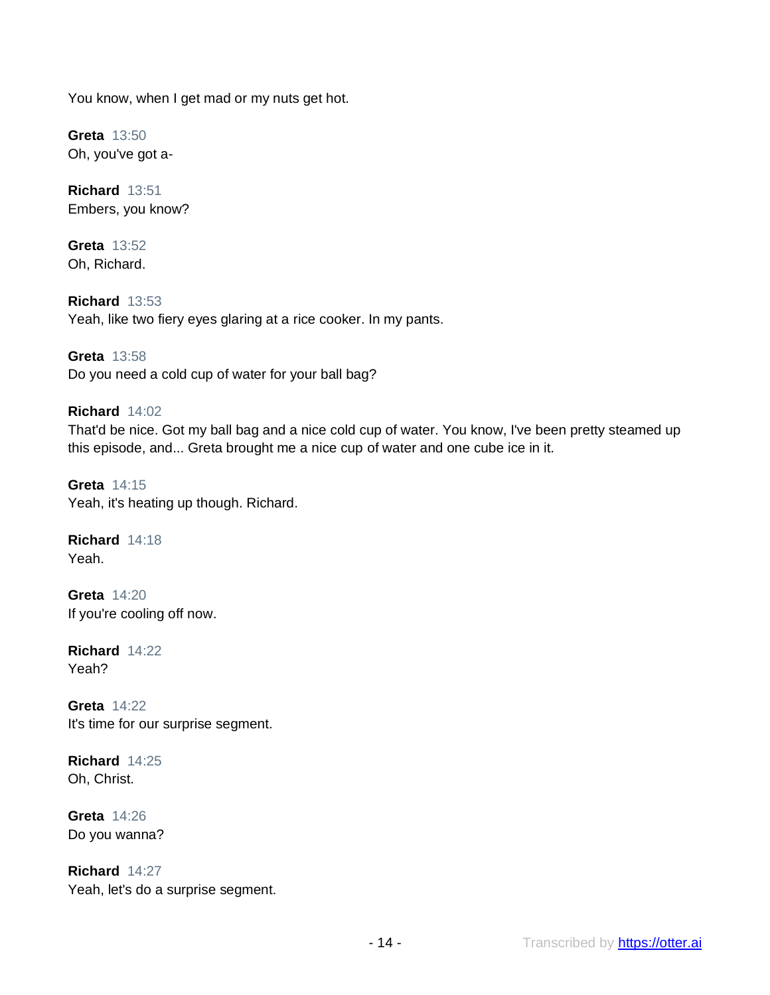You know, when I get mad or my nuts get hot.

**Greta** 13:50 Oh, you've got a-

**Richard** 13:51 Embers, you know?

**Greta** 13:52 Oh, Richard.

**Richard** 13:53 Yeah, like two fiery eyes glaring at a rice cooker. In my pants.

**Greta** 13:58 Do you need a cold cup of water for your ball bag?

# **Richard** 14:02

That'd be nice. Got my ball bag and a nice cold cup of water. You know, I've been pretty steamed up this episode, and... Greta brought me a nice cup of water and one cube ice in it.

**Greta** 14:15 Yeah, it's heating up though. Richard.

**Richard** 14:18 Yeah.

**Greta** 14:20 If you're cooling off now.

**Richard** 14:22 Yeah?

**Greta** 14:22 It's time for our surprise segment.

**Richard** 14:25 Oh, Christ.

**Greta** 14:26 Do you wanna?

**Richard** 14:27 Yeah, let's do a surprise segment.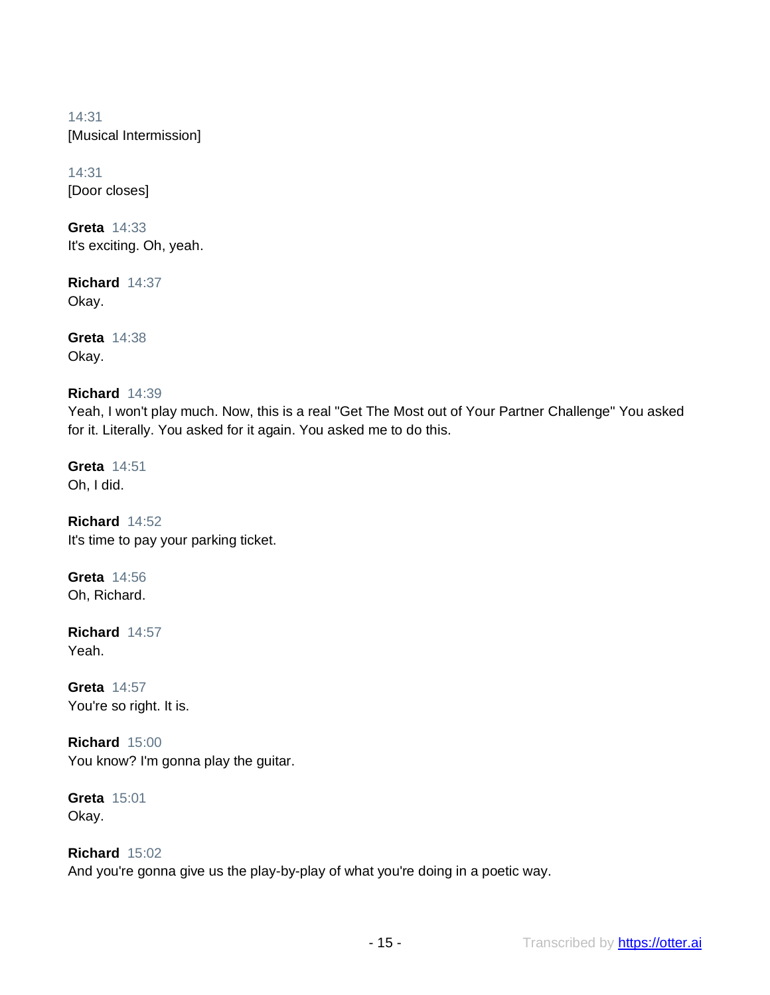14:31 [Musical Intermission]

14:31 [Door closes]

**Greta** 14:33 It's exciting. Oh, yeah.

**Richard** 14:37 Okay.

**Greta** 14:38 Okay.

# **Richard** 14:39

Yeah, I won't play much. Now, this is a real "Get The Most out of Your Partner Challenge" You asked for it. Literally. You asked for it again. You asked me to do this.

**Greta** 14:51 Oh, I did.

**Richard** 14:52 It's time to pay your parking ticket.

**Greta** 14:56 Oh, Richard.

**Richard** 14:57 Yeah.

**Greta** 14:57 You're so right. It is.

**Richard** 15:00 You know? I'm gonna play the guitar.

**Greta** 15:01 Okay.

# **Richard** 15:02

And you're gonna give us the play-by-play of what you're doing in a poetic way.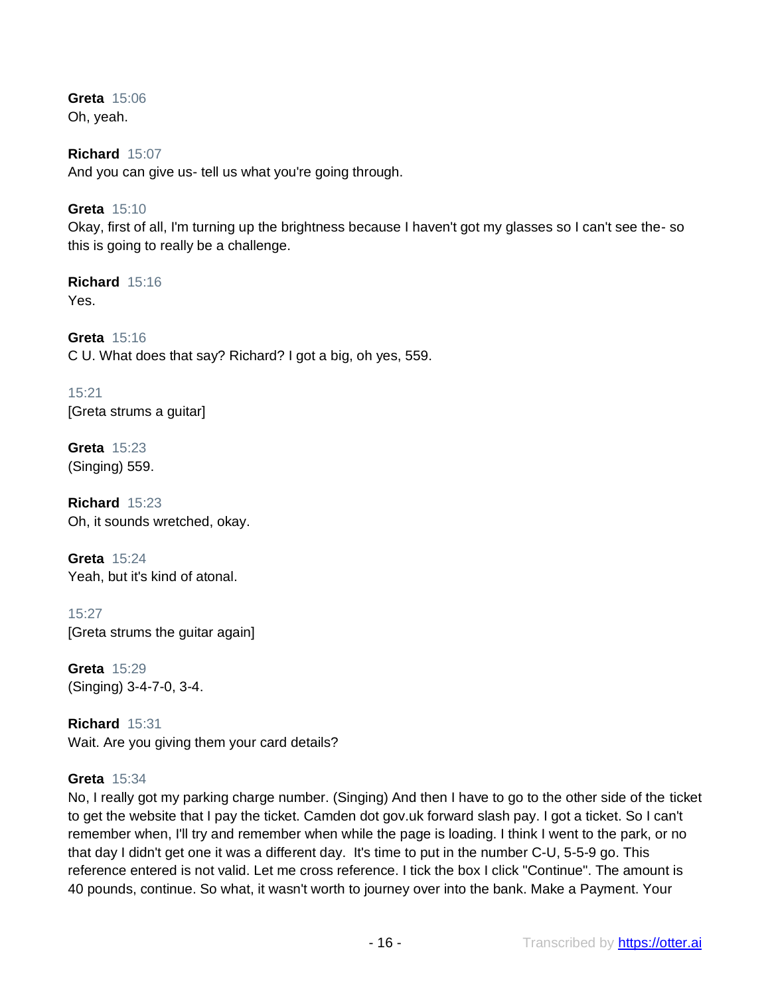**Greta** 15:06 Oh, yeah.

**Richard** 15:07 And you can give us- tell us what you're going through.

**Greta** 15:10

Okay, first of all, I'm turning up the brightness because I haven't got my glasses so I can't see the- so this is going to really be a challenge.

**Richard** 15:16 Yes.

**Greta** 15:16 C U. What does that say? Richard? I got a big, oh yes, 559.

15:21 [Greta strums a guitar]

**Greta** 15:23 (Singing) 559.

**Richard** 15:23 Oh, it sounds wretched, okay.

**Greta** 15:24 Yeah, but it's kind of atonal.

15:27 [Greta strums the guitar again]

**Greta** 15:29 (Singing) 3-4-7-0, 3-4.

**Richard** 15:31 Wait. Are you giving them your card details?

#### **Greta** 15:34

No, I really got my parking charge number. (Singing) And then I have to go to the other side of the ticket to get the website that I pay the ticket. Camden dot gov.uk forward slash pay. I got a ticket. So I can't remember when, I'll try and remember when while the page is loading. I think I went to the park, or no that day I didn't get one it was a different day. It's time to put in the number C-U, 5-5-9 go. This reference entered is not valid. Let me cross reference. I tick the box I click "Continue". The amount is 40 pounds, continue. So what, it wasn't worth to journey over into the bank. Make a Payment. Your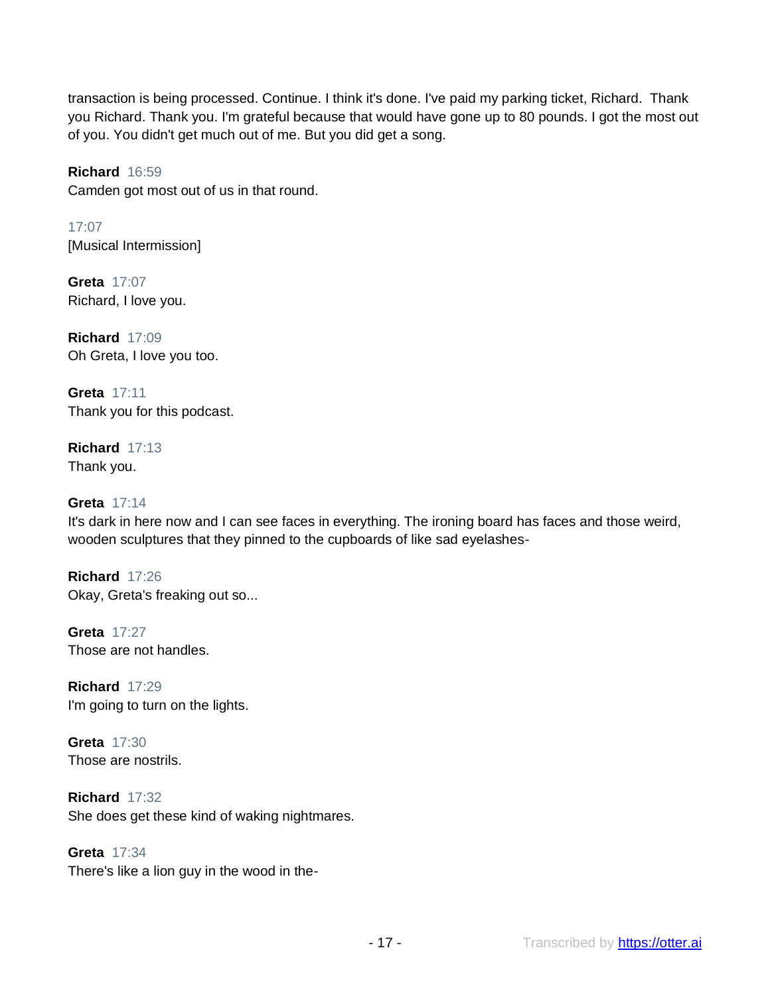transaction is being processed. Continue. I think it's done. I've paid my parking ticket, Richard. Thank you Richard. Thank you. I'm grateful because that would have gone up to 80 pounds. I got the most out of you. You didn't get much out of me. But you did get a song.

# **Richard** 16:59

Camden got most out of us in that round.

17:07 [Musical Intermission]

**Greta** 17:07 Richard, I love you.

**Richard** 17:09 Oh Greta, I love you too.

**Greta** 17:11 Thank you for this podcast.

**Richard** 17:13 Thank you.

# **Greta** 17:14

It's dark in here now and I can see faces in everything. The ironing board has faces and those weird, wooden sculptures that they pinned to the cupboards of like sad eyelashes-

**Richard** 17:26 Okay, Greta's freaking out so...

**Greta** 17:27 Those are not handles.

**Richard** 17:29 I'm going to turn on the lights.

**Greta** 17:30 Those are nostrils.

**Richard** 17:32 She does get these kind of waking nightmares.

**Greta** 17:34 There's like a lion guy in the wood in the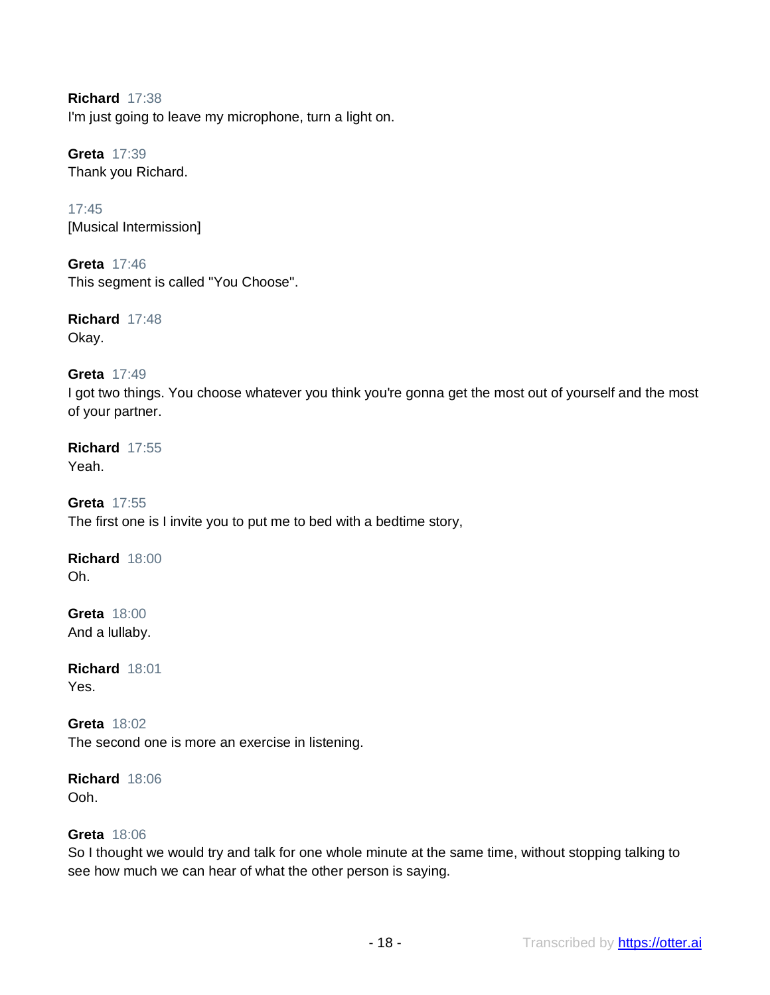**Richard** 17:38 I'm just going to leave my microphone, turn a light on.

**Greta** 17:39 Thank you Richard.

17:45 [Musical Intermission]

**Greta** 17:46 This segment is called "You Choose".

**Richard** 17:48 Okay.

# **Greta** 17:49

I got two things. You choose whatever you think you're gonna get the most out of yourself and the most of your partner.

#### **Richard** 17:55 Yeah.

**Greta** 17:55 The first one is I invite you to put me to bed with a bedtime story,

# **Richard** 18:00 Oh.

**Greta** 18:00 And a lullaby.

**Richard** 18:01 Yes.

**Greta** 18:02 The second one is more an exercise in listening.

**Richard** 18:06 Ooh.

# **Greta** 18:06

So I thought we would try and talk for one whole minute at the same time, without stopping talking to see how much we can hear of what the other person is saying.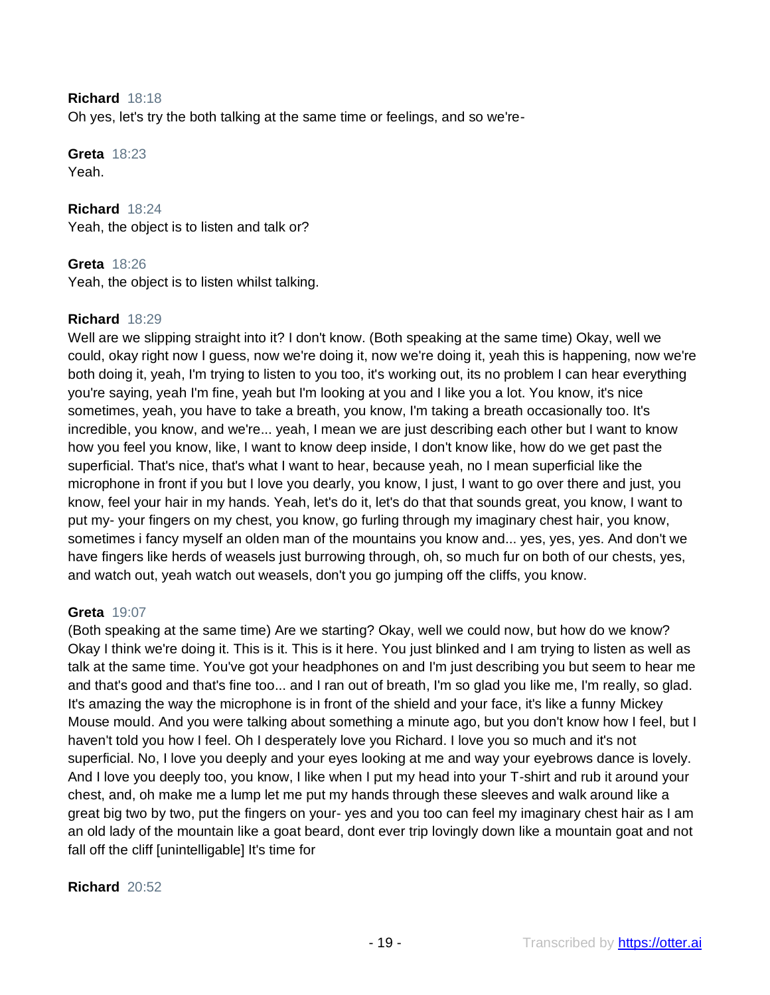#### **Richard** 18:18

Oh yes, let's try the both talking at the same time or feelings, and so we're-

#### **Greta** 18:23 Yeah.

**Richard** 18:24 Yeah, the object is to listen and talk or?

# **Greta** 18:26

Yeah, the object is to listen whilst talking.

# **Richard** 18:29

Well are we slipping straight into it? I don't know. (Both speaking at the same time) Okay, well we could, okay right now I guess, now we're doing it, now we're doing it, yeah this is happening, now we're both doing it, yeah, I'm trying to listen to you too, it's working out, its no problem I can hear everything you're saying, yeah I'm fine, yeah but I'm looking at you and I like you a lot. You know, it's nice sometimes, yeah, you have to take a breath, you know, I'm taking a breath occasionally too. It's incredible, you know, and we're... yeah, I mean we are just describing each other but I want to know how you feel you know, like, I want to know deep inside, I don't know like, how do we get past the superficial. That's nice, that's what I want to hear, because yeah, no I mean superficial like the microphone in front if you but I love you dearly, you know, I just, I want to go over there and just, you know, feel your hair in my hands. Yeah, let's do it, let's do that that sounds great, you know, I want to put my- your fingers on my chest, you know, go furling through my imaginary chest hair, you know, sometimes i fancy myself an olden man of the mountains you know and... yes, yes, yes. And don't we have fingers like herds of weasels just burrowing through, oh, so much fur on both of our chests, yes, and watch out, yeah watch out weasels, don't you go jumping off the cliffs, you know.

#### **Greta** 19:07

(Both speaking at the same time) Are we starting? Okay, well we could now, but how do we know? Okay I think we're doing it. This is it. This is it here. You just blinked and I am trying to listen as well as talk at the same time. You've got your headphones on and I'm just describing you but seem to hear me and that's good and that's fine too... and I ran out of breath, I'm so glad you like me, I'm really, so glad. It's amazing the way the microphone is in front of the shield and your face, it's like a funny Mickey Mouse mould. And you were talking about something a minute ago, but you don't know how I feel, but I haven't told you how I feel. Oh I desperately love you Richard. I love you so much and it's not superficial. No, I love you deeply and your eyes looking at me and way your eyebrows dance is lovely. And I love you deeply too, you know, I like when I put my head into your T-shirt and rub it around your chest, and, oh make me a lump let me put my hands through these sleeves and walk around like a great big two by two, put the fingers on your- yes and you too can feel my imaginary chest hair as I am an old lady of the mountain like a goat beard, dont ever trip lovingly down like a mountain goat and not fall off the cliff [unintelligable] It's time for

#### **Richard** 20:52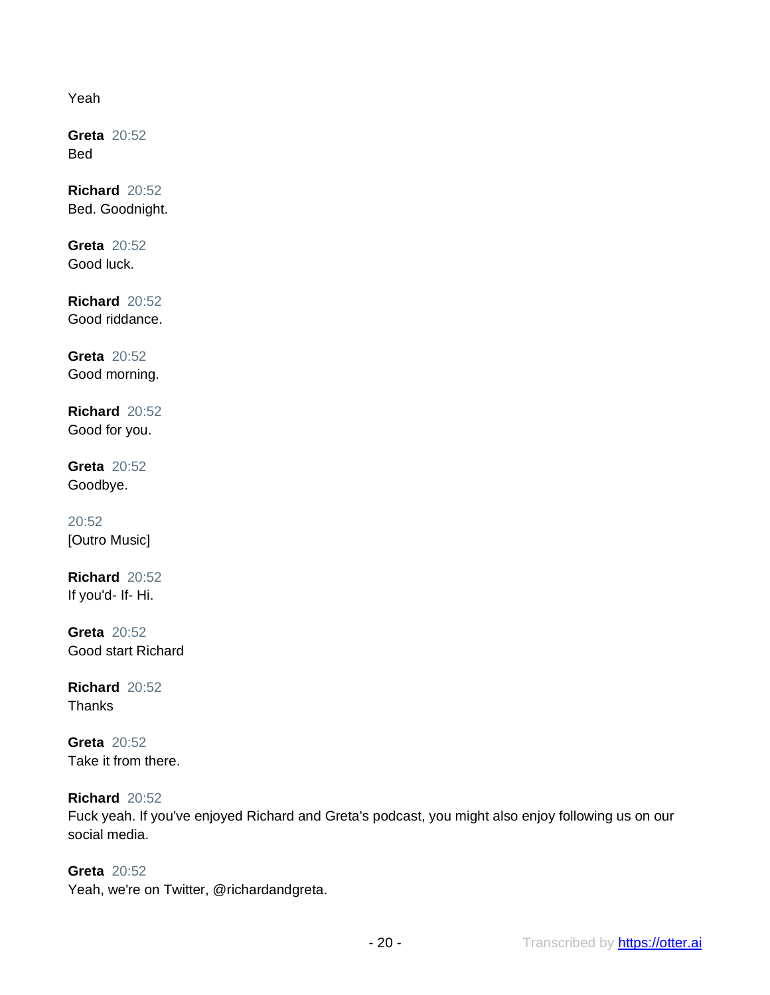Yeah

**Greta** 20:52 Bed

**Richard** 20:52 Bed. Goodnight.

**Greta** 20:52 Good luck.

**Richard** 20:52 Good riddance.

**Greta** 20:52 Good morning.

**Richard** 20:52 Good for you.

**Greta** 20:52 Goodbye.

20:52 [Outro Music]

**Richard** 20:52 If you'd- If- Hi.

**Greta** 20:52 Good start Richard

**Richard** 20:52 **Thanks** 

**Greta** 20:52 Take it from there.

# **Richard** 20:52

Fuck yeah. If you've enjoyed Richard and Greta's podcast, you might also enjoy following us on our social media.

**Greta** 20:52 Yeah, we're on Twitter, @richardandgreta.